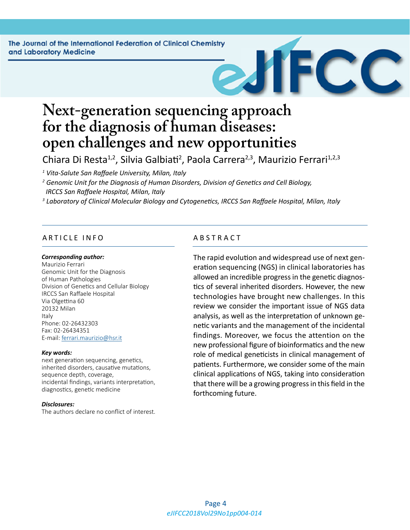The Journal of the International Federation of Clinical Chemistry and Laboratory Medicine

# **Next-generation sequencing approach for the diagnosis of human diseases: open challenges and new opportunities**

Chiara Di Resta<sup>1,2</sup>, Silvia Galbiati<sup>2</sup>, Paola Carrera<sup>2,3</sup>, Maurizio Ferrari<sup>1,2,3</sup>

*1 Vita-Salute San Raffaele University, Milan, Italy*

*2 Genomic Unit for the Diagnosis of Human Disorders, Division of Genetics and Cell Biology, IRCCS San Raffaele Hospital, Milan, Italy*

*3 Laboratory of Clinical Molecular Biology and Cytogenetics, IRCCS San Raffaele Hospital, Milan, Italy*

#### ARTICLE INFO ABSTRACT

#### *Corresponding author:*

Maurizio Ferrari Genomic Unit for the Diagnosis of Human Pathologies Division of Genetics and Cellular Biology IRCCS San Raffaele Hospital Via Olgettina 60 20132 Milan Italy Phone: 02-26432303 Fax: 02-26434351 E-mail: [ferrari.maurizio@hsr.it](mailto:ferrari.maurizio@hsr.it)

#### *Key words:*

next generation sequencing, genetics, inherited disorders, causative mutations, sequence depth, coverage, incidental findings, variants interpretation, diagnostics, genetic medicine

#### *Disclosures:*

The authors declare no conflict of interest.

The rapid evolution and widespread use of next generation sequencing (NGS) in clinical laboratories has allowed an incredible progress in the genetic diagnostics of several inherited disorders. However, the new technologies have brought new challenges. In this review we consider the important issue of NGS data analysis, as well as the interpretation of unknown genetic variants and the management of the incidental findings. Moreover, we focus the attention on the new professional figure of bioinformatics and the new role of medical geneticists in clinical management of patients. Furthermore, we consider some of the main clinical applications of NGS, taking into consideration that there will be a growing progress in this field in the forthcoming future.

 $\mathbf C$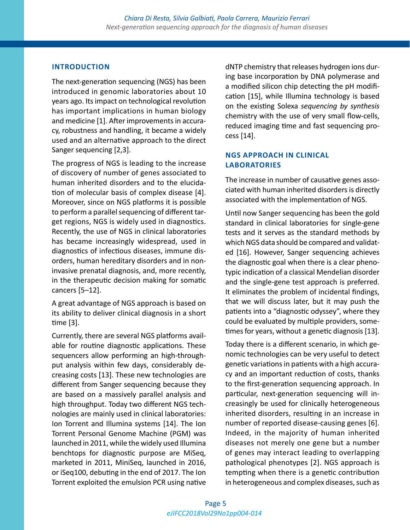#### **INTRODUCTION**

The next-generation sequencing (NGS) has been introduced in genomic laboratories about 10 years ago. Its impact on technological revolution has important implications in human biology and medicine [1]. After improvements in accuracy, robustness and handling, it became a widely used and an alternative approach to the direct Sanger sequencing [2,3].

The progress of NGS is leading to the increase of discovery of number of genes associated to human inherited disorders and to the elucidation of molecular basis of complex disease [4]. Moreover, since on NGS platforms it is possible to perform a parallel sequencing of different target regions, NGS is widely used in diagnostics. Recently, the use of NGS in clinical laboratories has became increasingly widespread, used in diagnostics of infectious diseases, immune disorders, human hereditary disorders and in noninvasive prenatal diagnosis, and, more recently, in the therapeutic decision making for somatic cancers [5–12].

A great advantage of NGS approach is based on its ability to deliver clinical diagnosis in a short time [3].

Currently, there are several NGS platforms available for routine diagnostic applications. These sequencers allow performing an high-throughput analysis within few days, considerably decreasing costs [13]. These new technologies are different from Sanger sequencing because they are based on a massively parallel analysis and high throughput. Today two different NGS technologies are mainly used in clinical laboratories: Ion Torrent and Illumina systems [14]. The Ion Torrent Personal Genome Machine (PGM) was launched in 2011, while the widely used Illumina benchtops for diagnostic purpose are MiSeq, marketed in 2011, MiniSeq, launched in 2016, or iSeq100, debuting in the end of 2017. The Ion Torrent exploited the emulsion PCR using native

dNTP chemistry that releases hydrogen ions during base incorporation by DNA polymerase and a modified silicon chip detecting the pH modification [15], while Illumina technology is based on the existing Solexa *sequencing by synthesis* chemistry with the use of very small flow-cells, reduced imaging time and fast sequencing process [14].

## **NGS APPROACH IN CLINICAL LABORATORIES**

The increase in number of causative genes associated with human inherited disorders is directly associated with the implementation of NGS.

Until now Sanger sequencing has been the gold standard in clinical laboratories for single-gene tests and it serves as the standard methods by which NGS data should be compared and validated [16]. However, Sanger sequencing achieves the diagnostic goal when there is a clear phenotypic indication of a classical Mendelian disorder and the single-gene test approach is preferred. It eliminates the problem of incidental findings, that we will discuss later, but it may push the patients into a "diagnostic odyssey", where they could be evaluated by multiple providers, sometimes for years, without a genetic diagnosis [13].

Today there is a different scenario, in which genomic technologies can be very useful to detect genetic variations in patients with a high accuracy and an important reduction of costs, thanks to the first-generation sequencing approach. In particular, next-generation sequencing will increasingly be used for clinically heterogeneous inherited disorders, resulting in an increase in number of reported disease-causing genes [6]. Indeed, in the majority of human inherited diseases not merely one gene but a number of genes may interact leading to overlapping pathological phenotypes [2]. NGS approach is tempting when there is a genetic contribution in heterogeneous and complex diseases, such as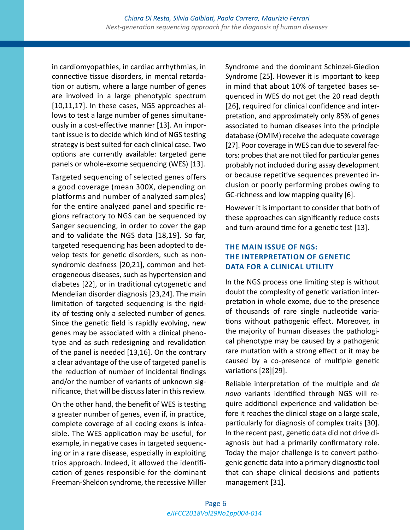in cardiomyopathies, in cardiac arrhythmias, in connective tissue disorders, in mental retardation or autism, where a large number of genes are involved in a large phenotypic spectrum [10,11,17]. In these cases, NGS approaches allows to test a large number of genes simultaneously in a cost-effective manner [13]. An important issue is to decide which kind of NGS testing strategy is best suited for each clinical case. Two options are currently available: targeted gene panels or whole-exome sequencing (WES) [13].

Targeted sequencing of selected genes offers a good coverage (mean 300X, depending on platforms and number of analyzed samples) for the entire analyzed panel and specific regions refractory to NGS can be sequenced by Sanger sequencing, in order to cover the gap and to validate the NGS data [18,19]. So far, targeted resequencing has been adopted to develop tests for genetic disorders, such as nonsyndromic deafness [20,21], common and heterogeneous diseases, such as hypertension and diabetes [22], or in traditional cytogenetic and Mendelian disorder diagnosis [23,24]. The main limitation of targeted sequencing is the rigidity of testing only a selected number of genes. Since the genetic field is rapidly evolving, new genes may be associated with a clinical phenotype and as such redesigning and revalidation of the panel is needed [13,16]. On the contrary a clear advantage of the use of targeted panel is the reduction of number of incidental findings and/or the number of variants of unknown significance, that will be discuss later in this review.

On the other hand, the benefit of WES is testing a greater number of genes, even if, in practice, complete coverage of all coding exons is infeasible. The WES application may be useful, for example, in negative cases in targeted sequencing or in a rare disease, especially in exploiting trios approach. Indeed, it allowed the identification of genes responsible for the dominant Freeman-Sheldon syndrome, the recessive Miller

Syndrome and the dominant Schinzel-Giedion Syndrome [25]. However it is important to keep in mind that about 10% of targeted bases sequenced in WES do not get the 20 read depth [26], required for clinical confidence and interpretation, and approximately only 85% of genes associated to human diseases into the principle database (OMIM) receive the adequate coverage [27]. Poor coverage in WES can due to several factors: probes that are not tiled for particular genes probably not included during assay development or because repetitive sequences prevented inclusion or poorly performing probes owing to GC-richness and low mapping quality [6].

However it is important to consider that both of these approaches can significantly reduce costs and turn-around time for a genetic test [13].

# **THE MAIN ISSUE OF NGS: THE INTERPRETATION OF GENETIC DATA FOR A CLINICAL UTILITY**

In the NGS process one limiting step is without doubt the complexity of genetic variation interpretation in whole exome, due to the presence of thousands of rare single nucleotide variations without pathogenic effect. Moreover, in the majority of human diseases the pathological phenotype may be caused by a pathogenic rare mutation with a strong effect or it may be caused by a co-presence of multiple genetic variations [28][29].

Reliable interpretation of the multiple and *de novo* variants identified through NGS will require additional experience and validation before it reaches the clinical stage on a large scale, particularly for diagnosis of complex traits [30]. In the recent past, genetic data did not drive diagnosis but had a primarily confirmatory role. Today the major challenge is to convert pathogenic genetic data into a primary diagnostic tool that can shape clinical decisions and patients management [31].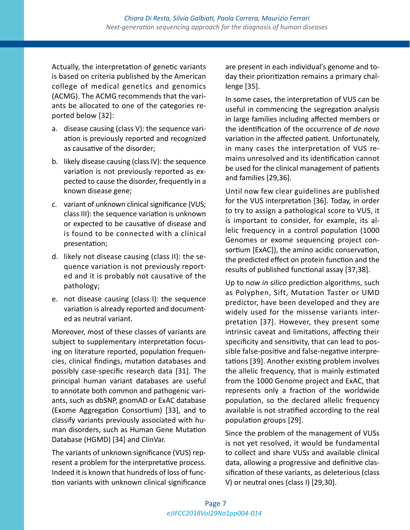Actually, the interpretation of genetic variants is based on criteria published by the American college of medical genetics and genomics (ACMG). The ACMG recommends that the variants be allocated to one of the categories reported below [32]:

- a. disease causing (class V): the sequence variation is previously reported and recognized as causative of the disorder;
- b. likely disease causing (class IV): the sequence variation is not previously reported as expected to cause the disorder, frequently in a known disease gene;
- c. variant of unknown clinical significance (VUS; class III): the sequence variation is unknown or expected to be causative of disease and is found to be connected with a clinical presentation;
- d. likely not disease causing (class II): the sequence variation is not previously reported and it is probably not causative of the pathology;
- e. not disease causing (class I): the sequence variation is already reported and documented as neutral variant.

Moreover, most of these classes of variants are subject to supplementary interpretation focusing on literature reported, population frequencies, clinical findings, mutation databases and possibly case-specific research data [31]. The principal human variant databases are useful to annotate both common and pathogenic variants, such as dbSNP, gnomAD or ExAC database (Exome Aggregation Consortium) [33], and to classify variants previously associated with human disorders, such as Human Gene Mutation Database (HGMD) [34] and ClinVar.

The variants of unknown significance (VUS) represent a problem for the interpretative process. Indeed it is known that hundreds of loss of function variants with unknown clinical significance are present in each individual's genome and today their prioritization remains a primary challenge [35].

In some cases, the interpretation of VUS can be useful in commencing the segregation analysis in large families including affected members or the identification of the occurrence of *de novo* variation in the affected patient. Unfortunately, in many cases the interpretation of VUS remains unresolved and its identification cannot be used for the clinical management of patients and families [29,36].

Until now few clear guidelines are published for the VUS interpretation [36]. Today, in order to try to assign a pathological score to VUS, it is important to consider, for example, its allelic frequency in a control population (1000 Genomes or exome sequencing project consortium [ExAC]), the amino acidic conservation, the predicted effect on protein function and the results of published functional assay [37,38].

Up to now *in silico* prediction algorithms, such as Polyphen, Sift, Mutation Taster or UMD predictor, have been developed and they are widely used for the missense variants interpretation [37]. However, they present some intrinsic caveat and limitations, affecting their specificity and sensitivity, that can lead to possible false-positive and false-negative interpretations [39]. Another existing problem involves the allelic frequency, that is mainly estimated from the 1000 Genome project and ExAC, that represents only a fraction of the worldwide population, so the declared allelic frequency available is not stratified according to the real population groups [29].

Since the problem of the management of VUSs is not yet resolved, it would be fundamental to collect and share VUSs and available clinical data, allowing a progressive and definitive classification of these variants, as deleterious (class V) or neutral ones (class I) [29,30].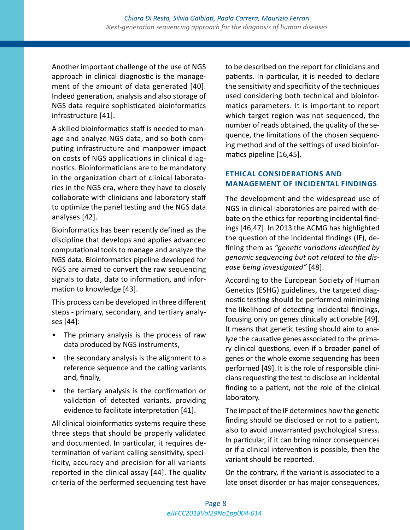Another important challenge of the use of NGS approach in clinical diagnostic is the management of the amount of data generated [40]. Indeed generation, analysis and also storage of NGS data require sophisticated bioinformatics infrastructure [41].

A skilled bioinformatics staff is needed to manage and analyze NGS data, and so both computing infrastructure and manpower impact on costs of NGS applications in clinical diagnostics. Bioinformaticians are to be mandatory in the organization chart of clinical laboratories in the NGS era, where they have to closely collaborate with clinicians and laboratory staff to optimize the panel testing and the NGS data analyses [42].

Bioinformatics has been recently defined as the discipline that develops and applies advanced computational tools to manage and analyze the NGS data. Bioinformatics pipeline developed for NGS are aimed to convert the raw sequencing signals to data, data to information, and information to knowledge [43].

This process can be developed in three different steps - primary, secondary, and tertiary analyses [44]:

- The primary analysis is the process of raw data produced by NGS instruments,
- the secondary analysis is the alignment to a reference sequence and the calling variants and, finally,
- the tertiary analysis is the confirmation or validation of detected variants, providing evidence to facilitate interpretation [41].

All clinical bioinformatics systems require these three steps that should be properly validated and documented. In particular, it requires determination of variant calling sensitivity, specificity, accuracy and precision for all variants reported in the clinical assay [44]. The quality criteria of the performed sequencing test have

to be described on the report for clinicians and patients. In particular, it is needed to declare the sensitivity and specificity of the techniques used considering both technical and bioinformatics parameters. It is important to report which target region was not sequenced, the number of reads obtained, the quality of the sequence, the limitations of the chosen sequencing method and of the settings of used bioinformatics pipeline [16,45].

# **ETHICAL CONSIDERATIONS AND MANAGEMENT OF INCIDENTAL FINDINGS**

The development and the widespread use of NGS in clinical laboratories are paired with debate on the ethics for reporting incidental findings [46,47]. In 2013 the ACMG has highlighted the question of the incidental findings (IF), defining them as *"genetic variations identified by genomic sequencing but not related to the disease being investigated"* [48].

According to the European Society of Human Genetics (ESHG) guidelines, the targeted diagnostic testing should be performed minimizing the likelihood of detecting incidental findings, focusing only on genes clinically actionable [49]. It means that genetic testing should aim to analyze the causative genes associated to the primary clinical questions, even if a broader panel of genes or the whole exome sequencing has been performed [49]. It is the role of responsible clinicians requesting the test to disclose an incidental finding to a patient, not the role of the clinical laboratory.

The impact of the IF determines how the genetic finding should be disclosed or not to a patient, also to avoid unwarranted psychological stress. In particular, if it can bring minor consequences or if a clinical intervention is possible, then the variant should be reported.

On the contrary, if the variant is associated to a late onset disorder or has major consequences,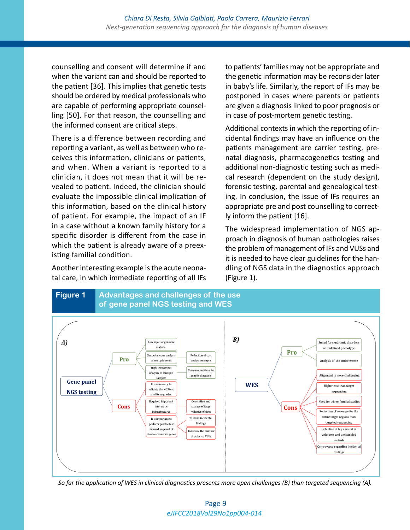counselling and consent will determine if and when the variant can and should be reported to the patient [36]. This implies that genetic tests should be ordered by medical professionals who are capable of performing appropriate counselling [50]. For that reason, the counselling and the informed consent are critical steps.

There is a difference between recording and reporting a variant, as well as between who receives this information, clinicians or patients, and when. When a variant is reported to a clinician, it does not mean that it will be revealed to patient. Indeed, the clinician should evaluate the impossible clinical implication of this information, based on the clinical history of patient. For example, the impact of an IF in a case without a known family history for a specific disorder is different from the case in which the patient is already aware of a preexisting familial condition.

Another interesting example is the acute neonatal care, in which immediate reporting of all IFs to patients' families may not be appropriate and the genetic information may be reconsider later in baby's life. Similarly, the report of IFs may be postponed in cases where parents or patients are given a diagnosis linked to poor prognosis or in case of post-mortem genetic testing.

Additional contexts in which the reporting of incidental findings may have an influence on the patients management are carrier testing, prenatal diagnosis, pharmacogenetics testing and additional non-diagnostic testing such as medical research (dependent on the study design), forensic testing, parental and genealogical testing. In conclusion, the issue of IFs requires an appropriate pre and post counselling to correctly inform the patient [16].

The widespread implementation of NGS approach in diagnosis of human pathologies raises the problem of management of IFs and VUSs and it is needed to have clear guidelines for the handling of NGS data in the diagnostics approach (Figure 1).



*So far the application of WES in clinical diagnostics presents more open challenges (B) than targeted sequencing (A).*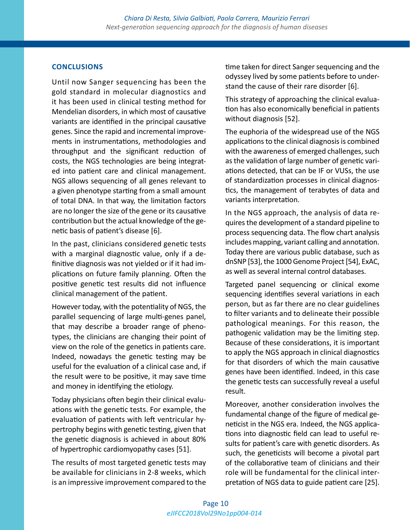### **CONCLUSIONS**

Until now Sanger sequencing has been the gold standard in molecular diagnostics and it has been used in clinical testing method for Mendelian disorders, in which most of causative variants are identified in the principal causative genes. Since the rapid and incremental improvements in instrumentations, methodologies and throughput and the significant reduction of costs, the NGS technologies are being integrated into patient care and clinical management. NGS allows sequencing of all genes relevant to a given phenotype starting from a small amount of total DNA. In that way, the limitation factors are no longer the size of the gene or its causative contribution but the actual knowledge of the genetic basis of patient's disease [6].

In the past, clinicians considered genetic tests with a marginal diagnostic value, only if a definitive diagnosis was not yielded or if it had implications on future family planning. Often the positive genetic test results did not influence clinical management of the patient.

However today, with the potentiality of NGS, the parallel sequencing of large multi-genes panel, that may describe a broader range of phenotypes, the clinicians are changing their point of view on the role of the genetics in patients care. Indeed, nowadays the genetic testing may be useful for the evaluation of a clinical case and, if the result were to be positive, it may save time and money in identifying the etiology.

Today physicians often begin their clinical evaluations with the genetic tests. For example, the evaluation of patients with left ventricular hypertrophy begins with genetic testing, given that the genetic diagnosis is achieved in about 80% of hypertrophic cardiomyopathy cases [51].

The results of most targeted genetic tests may be available for clinicians in 2-8 weeks, which is an impressive improvement compared to the time taken for direct Sanger sequencing and the odyssey lived by some patients before to understand the cause of their rare disorder [6].

This strategy of approaching the clinical evaluation has also economically beneficial in patients without diagnosis [52].

The euphoria of the widespread use of the NGS applications to the clinical diagnosis is combined with the awareness of emerged challenges, such as the validation of large number of genetic variations detected, that can be IF or VUSs, the use of standardization processes in clinical diagnostics, the management of terabytes of data and variants interpretation.

In the NGS approach, the analysis of data requires the development of a standard pipeline to process sequencing data. The flow chart analysis includes mapping, variant calling and annotation. Today there are various public database, such as dnSNP [53], the 1000 Genome Project [54], ExAC, as well as several internal control databases.

Targeted panel sequencing or clinical exome sequencing identifies several variations in each person, but as far there are no clear guidelines to filter variants and to delineate their possible pathological meanings. For this reason, the pathogenic validation may be the limiting step. Because of these considerations, it is important to apply the NGS approach in clinical diagnostics for that disorders of which the main causative genes have been identified. Indeed, in this case the genetic tests can successfully reveal a useful result.

Moreover, another consideration involves the fundamental change of the figure of medical geneticist in the NGS era. Indeed, the NGS applications into diagnostic field can lead to useful results for patient's care with genetic disorders. As such, the geneticists will become a pivotal part of the collaborative team of clinicians and their role will be fundamental for the clinical interpretation of NGS data to guide patient care [25].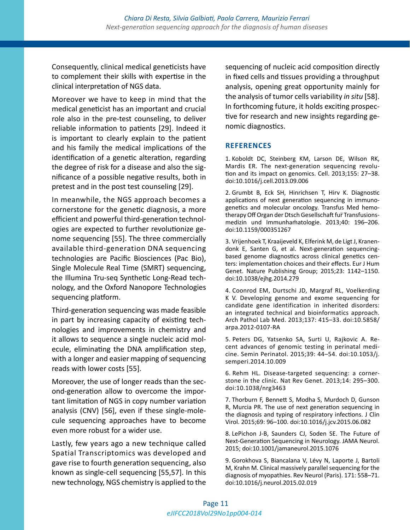Consequently, clinical medical geneticists have to complement their skills with expertise in the clinical interpretation of NGS data.

Moreover we have to keep in mind that the medical geneticist has an important and crucial role also in the pre-test counseling, to deliver reliable information to patients [29]. Indeed it is important to clearly explain to the patient and his family the medical implications of the identification of a genetic alteration, regarding the degree of risk for a disease and also the significance of a possible negative results, both in pretest and in the post test counseling [29].

In meanwhile, the NGS approach becomes a cornerstone for the genetic diagnosis, a more efficient and powerful third-generation technologies are expected to further revolutionize genome sequencing [55]. The three commercially available third-generation DNA sequencing technologies are Pacific Biosciences (Pac Bio), Single Molecule Real Time (SMRT) sequencing, the Illumina Tru-seq Synthetic Long-Read technology, and the Oxford Nanopore Technologies sequencing platform.

Third-generation sequencing was made feasible in part by increasing capacity of existing technologies and improvements in chemistry and it allows to sequence a single nucleic acid molecule, eliminating the DNA amplification step, with a longer and easier mapping of sequencing reads with lower costs [55].

Moreover, the use of longer reads than the second-generation allow to overcome the important limitation of NGS in copy number variation analysis (CNV) [56], even if these single-molecule sequencing approaches have to become even more robust for a wider use.

Lastly, few years ago a new technique called Spatial Transcriptomics was developed and gave rise to fourth generation sequencing, also known as single-cell sequencing [55,57]. In this new technology, NGS chemistry is applied to the sequencing of nucleic acid composition directly in fixed cells and tissues providing a throughput analysis, opening great opportunity mainly for the analysis of tumor cells variability *in situ* [58]. In forthcoming future, it holds exciting prospective for research and new insights regarding genomic diagnostics.

#### **REFERENCES**

1. Koboldt DC, Steinberg KM, Larson DE, Wilson RK, Mardis ER. The next-generation sequencing revolution and its impact on genomics. Cell. 2013;155: 27–38. doi:10.1016/j.cell.2013.09.006

2. Grumbt B, Eck SH, Hinrichsen T, Hirv K. Diagnostic applications of next generation sequencing in immunogenetics and molecular oncology. Transfus Med hemotherapy Off Organ der Dtsch Gesellschaft fur Transfusionsmedizin und Immunham̈atologie. 2013;40: 196–206. doi:10.1159/000351267

3. Vrijenhoek T, Kraaijeveld K, Elferink M, de Ligt J, Kranendonk E, Santen G, et al. Next-generation sequencingbased genome diagnostics across clinical genetics centers: implementation choices and their effects. Eur J Hum Genet. Nature Publishing Group; 2015;23: 1142–1150. doi:10.1038/ejhg.2014.279

4. Coonrod EM, Durtschi JD, Margraf RL, Voelkerding K V. Developing genome and exome sequencing for candidate gene identification in inherited disorders: an integrated technical and bioinformatics approach. Arch Pathol Lab Med. 2013;137: 415–33. doi:10.5858/ arpa.2012-0107-RA

5. Peters DG, Yatsenko SA, Surti U, Rajkovic A. Recent advances of genomic testing in perinatal medicine. Semin Perinatol. 2015;39: 44–54. doi:10.1053/j. semperi.2014.10.009

6. Rehm HL. Disease-targeted sequencing: a cornerstone in the clinic. Nat Rev Genet. 2013;14: 295–300. doi:10.1038/nrg3463

7. Thorburn F, Bennett S, Modha S, Murdoch D, Gunson R, Murcia PR. The use of next generation sequencing in the diagnosis and typing of respiratory infections. J Clin Virol. 2015;69: 96–100. doi:10.1016/j.jcv.2015.06.082

8. LePichon J-B, Saunders CJ, Soden SE. The Future of Next-Generation Sequencing in Neurology. JAMA Neurol. 2015; doi:10.1001/jamaneurol.2015.1076

9. Gorokhova S, Biancalana V, Lévy N, Laporte J, Bartoli M, Krahn M. Clinical massively parallel sequencing for the diagnosis of myopathies. Rev Neurol (Paris). 171: 558–71. doi:10.1016/j.neurol.2015.02.019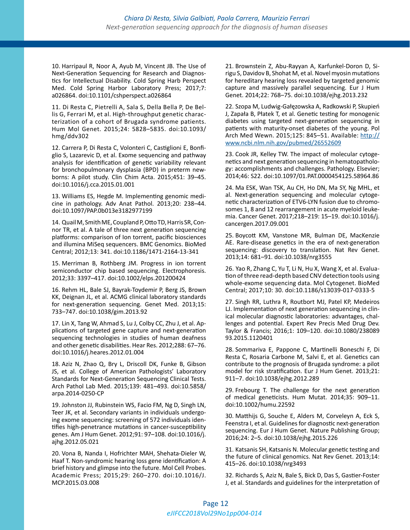10. Harripaul R, Noor A, Ayub M, Vincent JB. The Use of Next-Generation Sequencing for Research and Diagnostics for Intellectual Disability. Cold Spring Harb Perspect Med. Cold Spring Harbor Laboratory Press; 2017;7: a026864. doi:10.1101/cshperspect.a026864

11. Di Resta C, Pietrelli A, Sala S, Della Bella P, De Bellis G, Ferrari M, et al. High-throughput genetic characterization of a cohort of Brugada syndrome patients. Hum Mol Genet. 2015;24: 5828–5835. doi:10.1093/ hmg/ddv302

12. Carrera P, Di Resta C, Volonteri C, Castiglioni E, Bonfiglio S, Lazarevic D, et al. Exome sequencing and pathway analysis for identification of genetic variability relevant for bronchopulmonary dysplasia (BPD) in preterm newborns: A pilot study. Clin Chim Acta. 2015;451: 39–45. doi:10.1016/j.cca.2015.01.001

13. Williams ES, Hegde M. Implementing genomic medicine in pathology. Adv Anat Pathol. 2013;20: 238–44. doi:10.1097/PAP.0b013e3182977199

14. Quail M, Smith ME, Coupland P, Otto TD, Harris SR, Connor TR, et al. A tale of three next generation sequencing platforms: comparison of Ion torrent, pacific biosciences and illumina MiSeq sequencers. BMC Genomics. BioMed Central; 2012;13: 341. doi:10.1186/1471-2164-13-341

15. Merriman B, Rothberg JM. Progress in ion torrent semiconductor chip based sequencing. Electrophoresis. 2012;33: 3397–417. doi:10.1002/elps.201200424

16. Rehm HL, Bale SJ, Bayrak-Toydemir P, Berg JS, Brown KK, Deignan JL, et al. ACMG clinical laboratory standards for next-generation sequencing. Genet Med. 2013;15: 733–747. doi:10.1038/gim.2013.92

17. Lin X, Tang W, Ahmad S, Lu J, Colby CC, Zhu J, et al. Applications of targeted gene capture and next-generation sequencing technologies in studies of human deafness and other genetic disabilities. Hear Res. 2012;288: 67–76. doi:10.1016/j.heares.2012.01.004

18. Aziz N, Zhao Q, Bry L, Driscoll DK, Funke B, Gibson JS, et al. College of American Pathologists' Laboratory Standards for Next-Generation Sequencing Clinical Tests. Arch Pathol Lab Med. 2015;139: 481–493. doi:10.5858/ arpa.2014-0250-CP

19. Johnston JJ, Rubinstein WS, Facio FM, Ng D, Singh LN, Teer JK, et al. Secondary variants in individuals undergoing exome sequencing: screening of 572 individuals identifies high-penetrance mutations in cancer-susceptibility genes. Am J Hum Genet. 2012;91: 97–108. doi:10.1016/j. ajhg.2012.05.021

20. Vona B, Nanda I, Hofrichter MAH, Shehata-Dieler W, Haaf T. Non-syndromic hearing loss gene identification: A brief history and glimpse into the future. Mol Cell Probes. Academic Press; 2015;29: 260–270. doi:10.1016/J. MCP.2015.03.008

21. Brownstein Z, Abu-Rayyan A, Karfunkel-Doron D, Sirigu S, Davidov B, Shohat M, et al. Novel myosin mutations for hereditary hearing loss revealed by targeted genomic capture and massively parallel sequencing. Eur J Hum Genet. 2014;22: 768–75. doi:10.1038/ejhg.2013.232

22. Szopa M, Ludwig-Gałęzowska A, Radkowski P, Skupień J, Zapała B, Płatek T, et al. Genetic testing for monogenic diabetes using targeted next-generation sequencing in patients with maturity-onset diabetes of the young. Pol Arch Med Wewn. 2015;125: 845-51. Available: [http://](http://www.ncbi.nlm.nih.gov/pubmed/26552609) [www.ncbi.nlm.nih.gov/pubmed/26552609](http://www.ncbi.nlm.nih.gov/pubmed/26552609)

23. Cook JR, Kelley TW. The impact of molecular cytogenetics and next generation sequencing in hematopathology: accomplishments and challenges. Pathology. Elsevier; 2014;46: S22. doi:10.1097/01.PAT.0000454125.58964.86

24. Ma ESK, Wan TSK, Au CH, Ho DN, Ma SY, Ng MHL, et al. Next-generation sequencing and molecular cytogenetic characterization of ETV6-LYN fusion due to chromosomes 1, 8 and 12 rearrangement in acute myeloid leukemia. Cancer Genet. 2017;218–219: 15–19. doi:10.1016/j. cancergen.2017.09.001

25. Boycott KM, Vanstone MR, Bulman DE, MacKenzie AE. Rare-disease genetics in the era of next-generation sequencing: discovery to translation. Nat Rev Genet. 2013;14: 681–91. doi:10.1038/nrg3555

26. Yao R, Zhang C, Yu T, Li N, Hu X, Wang X, et al. Evaluation of three read-depth based CNV detection tools using whole-exome sequencing data. Mol Cytogenet. BioMed Central; 2017;10: 30. doi:10.1186/s13039-017-0333-5

27. Singh RR, Luthra R, Routbort MJ, Patel KP, Medeiros LJ. Implementation of next generation sequencing in clinical molecular diagnostic laboratories: advantages, challenges and potential. Expert Rev Precis Med Drug Dev. Taylor & Francis; 2016;1: 109–120. doi:10.1080/238089 93.2015.1120401

28. Sommariva E, Pappone C, Martinelli Boneschi F, Di Resta C, Rosaria Carbone M, Salvi E, et al. Genetics can contribute to the prognosis of Brugada syndrome: a pilot model for risk stratification. Eur J Hum Genet. 2013;21: 911–7. doi:10.1038/ejhg.2012.289

29. Frebourg T. The challenge for the next generation of medical geneticists. Hum Mutat. 2014;35: 909–11. doi:10.1002/humu.22592

30. Matthijs G, Souche E, Alders M, Corveleyn A, Eck S, Feenstra I, et al. Guidelines for diagnostic next-generation sequencing. Eur J Hum Genet. Nature Publishing Group; 2016;24: 2–5. doi:10.1038/ejhg.2015.226

31. Katsanis SH, Katsanis N. Molecular genetic testing and the future of clinical genomics. Nat Rev Genet. 2013;14: 415–26. doi:10.1038/nrg3493

32. Richards S, Aziz N, Bale S, Bick D, Das S, Gastier-Foster J, et al. Standards and guidelines for the interpretation of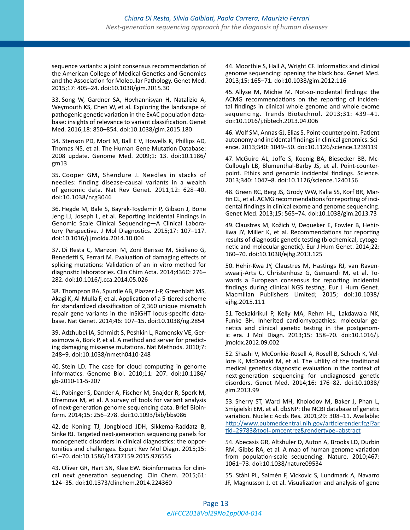sequence variants: a joint consensus recommendation of the American College of Medical Genetics and Genomics and the Association for Molecular Pathology. Genet Med. 2015;17: 405–24. doi:10.1038/gim.2015.30

33. Song W, Gardner SA, Hovhannisyan H, Natalizio A, Weymouth KS, Chen W, et al. Exploring the landscape of pathogenic genetic variation in the ExAC population database: insights of relevance to variant classification. Genet Med. 2016;18: 850–854. doi:10.1038/gim.2015.180

34. Stenson PD, Mort M, Ball E V, Howells K, Phillips AD, Thomas NS, et al. The Human Gene Mutation Database: 2008 update. Genome Med. 2009;1: 13. doi:10.1186/ gm13

35. Cooper GM, Shendure J. Needles in stacks of needles: finding disease-causal variants in a wealth of genomic data. Nat Rev Genet. 2011;12: 628–40. doi:10.1038/nrg3046

36. Hegde M, Bale S, Bayrak-Toydemir P, Gibson J, Bone Jeng LJ, Joseph L, et al. Reporting Incidental Findings in Genomic Scale Clinical Sequencing—A Clinical Laboratory Perspective. J Mol Diagnostics. 2015;17: 107–117. doi:10.1016/j.jmoldx.2014.10.004

37. Di Resta C, Manzoni M, Zoni Berisso M, Siciliano G, Benedetti S, Ferrari M. Evaluation of damaging effects of splicing mutations: Validation of an in vitro method for diagnostic laboratories. Clin Chim Acta. 2014;436C: 276– 282. doi:10.1016/j.cca.2014.05.026

38. Thompson BA, Spurdle AB, Plazzer J-P, Greenblatt MS, Akagi K, Al-Mulla F, et al. Application of a 5-tiered scheme for standardized classification of 2,360 unique mismatch repair gene variants in the InSiGHT locus-specific database. Nat Genet. 2014;46: 107–15. doi:10.1038/ng.2854

39. Adzhubei IA, Schmidt S, Peshkin L, Ramensky VE, Gerasimova A, Bork P, et al. A method and server for predicting damaging missense mutations. Nat Methods. 2010;7: 248–9. doi:10.1038/nmeth0410-248

40. Stein LD. The case for cloud computing in genome informatics. Genome Biol. 2010;11: 207. doi:10.1186/ gb-2010-11-5-207

41. Pabinger S, Dander A, Fischer M, Snajder R, Sperk M, Efremova M, et al. A survey of tools for variant analysis of next-generation genome sequencing data. Brief Bioinform. 2014;15: 256–278. doi:10.1093/bib/bbs086

42. de Koning TJ, Jongbloed JDH, Sikkema-Raddatz B, Sinke RJ. Targeted next-generation sequencing panels for monogenetic disorders in clinical diagnostics: the opportunities and challenges. Expert Rev Mol Diagn. 2015;15: 61–70. doi:10.1586/14737159.2015.976555

43. Oliver GR, Hart SN, Klee EW. Bioinformatics for clinical next generation sequencing. Clin Chem. 2015;61: 124–35. doi:10.1373/clinchem.2014.224360

44. Moorthie S, Hall A, Wright CF. Informatics and clinical genome sequencing: opening the black box. Genet Med. 2013;15: 165–71. doi:10.1038/gim.2012.116

45. Allyse M, Michie M. Not-so-incidental findings: the ACMG recommendations on the reporting of incidental findings in clinical whole genome and whole exome sequencing. Trends Biotechnol. 2013;31: 439–41. doi:10.1016/j.tibtech.2013.04.006

46. Wolf SM, Annas GJ, Elias S. Point-counterpoint. Patient autonomy and incidental findings in clinical genomics. Science. 2013;340: 1049–50. doi:10.1126/science.1239119

47. McGuire AL, Joffe S, Koenig BA, Biesecker BB, Mc-Cullough LB, Blumenthal-Barby JS, et al. Point-counterpoint. Ethics and genomic incidental findings. Science. 2013;340: 1047–8. doi:10.1126/science.1240156

48. Green RC, Berg JS, Grody WW, Kalia SS, Korf BR, Martin CL, et al. ACMG recommendations for reporting of incidental findings in clinical exome and genome sequencing. Genet Med. 2013;15: 565–74. doi:10.1038/gim.2013.73

49. Claustres M, Kožich V, Dequeker E, Fowler B, Hehir-Kwa JY, Miller K, et al. Recommendations for reporting results of diagnostic genetic testing (biochemical, cytogenetic and molecular genetic). Eur J Hum Genet. 2014;22: 160–70. doi:10.1038/ejhg.2013.125

50. Hehir-Kwa JY, Claustres M, Hastings RJ, van Ravenswaaij-Arts C, Christenhusz G, Genuardi M, et al. Towards a European consensus for reporting incidental findings during clinical NGS testing. Eur J Hum Genet. Macmillan Publishers Limited; 2015; doi:10.1038/ ejhg.2015.111

51. Teekakirikul P, Kelly MA, Rehm HL, Lakdawala NK, Funke BH. Inherited cardiomyopathies: molecular genetics and clinical genetic testing in the postgenomic era. J Mol Diagn. 2013;15: 158–70. doi:10.1016/j. jmoldx.2012.09.002

52. Shashi V, McConkie-Rosell A, Rosell B, Schoch K, Vellore K, McDonald M, et al. The utility of the traditional medical genetics diagnostic evaluation in the context of next-generation sequencing for undiagnosed genetic disorders. Genet Med. 2014;16: 176–82. doi:10.1038/ gim.2013.99

53. Sherry ST, Ward MH, Kholodov M, Baker J, Phan L, Smigielski EM, et al. dbSNP: the NCBI database of genetic variation. Nucleic Acids Res. 2001;29: 308–11. Available: [http://www.pubmedcentral.nih.gov/articlerender.fcgi?ar](http://www.pubmedcentral.nih.gov/articlerender.fcgi?artid=29783&tool=pmcentrez&rendertype=abstract) [tid=29783&tool=pmcentrez&rendertype=abstract](http://www.pubmedcentral.nih.gov/articlerender.fcgi?artid=29783&tool=pmcentrez&rendertype=abstract)

54. Abecasis GR, Altshuler D, Auton A, Brooks LD, Durbin RM, Gibbs RA, et al. A map of human genome variation from population-scale sequencing. Nature. 2010;467: 1061–73. doi:10.1038/nature09534

55. Ståhl PL, Salmén F, Vickovic S, Lundmark A, Navarro JF, Magnusson J, et al. Visualization and analysis of gene